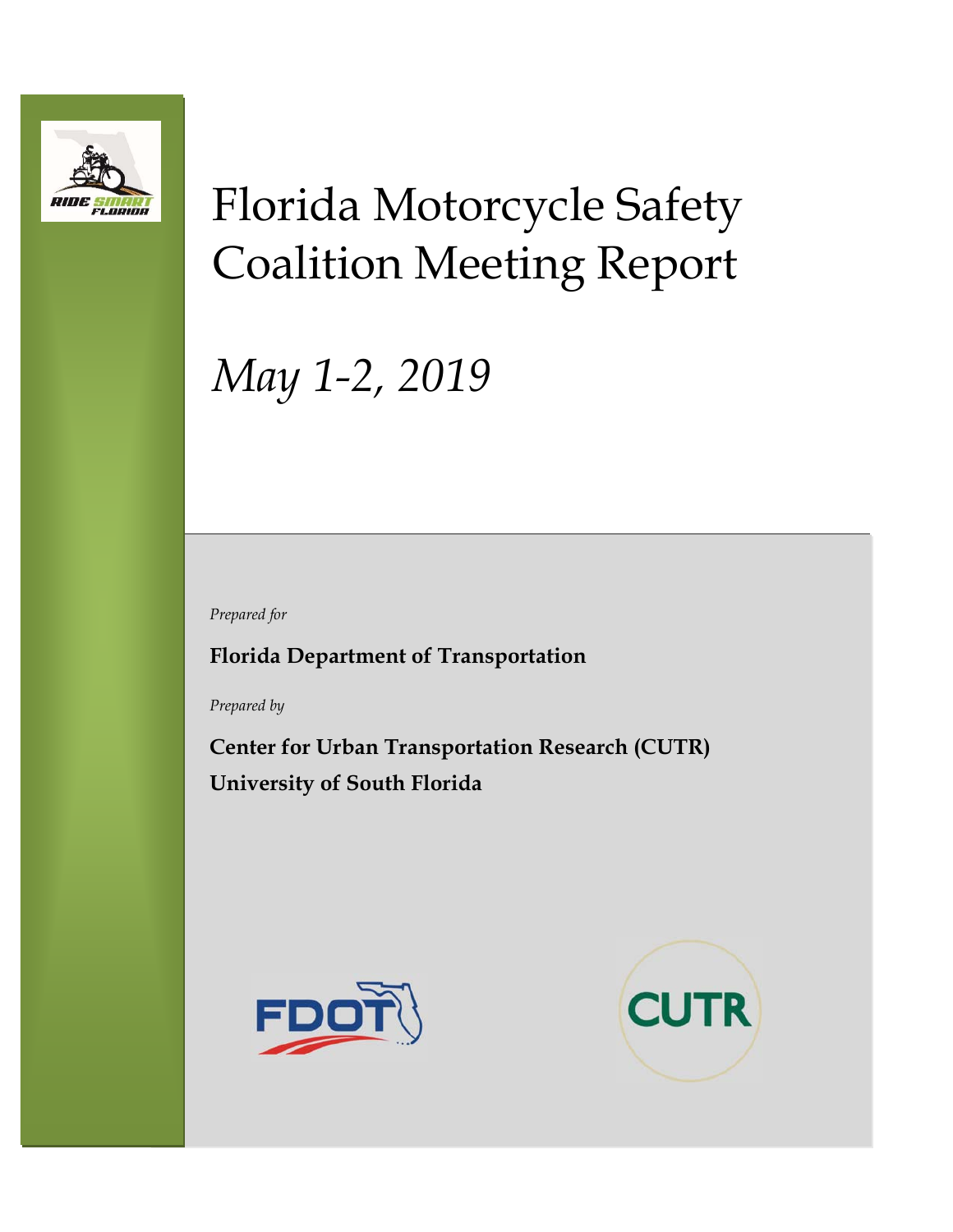

# Florida Motorcycle Safety Coalition Meeting Report

# *May 1-2, 2019*

*Prepared for* 

**Florida Department of Transportation** 

*Prepared by* 

**Center for Urban Transportation Research (CUTR) University of South Florida** 



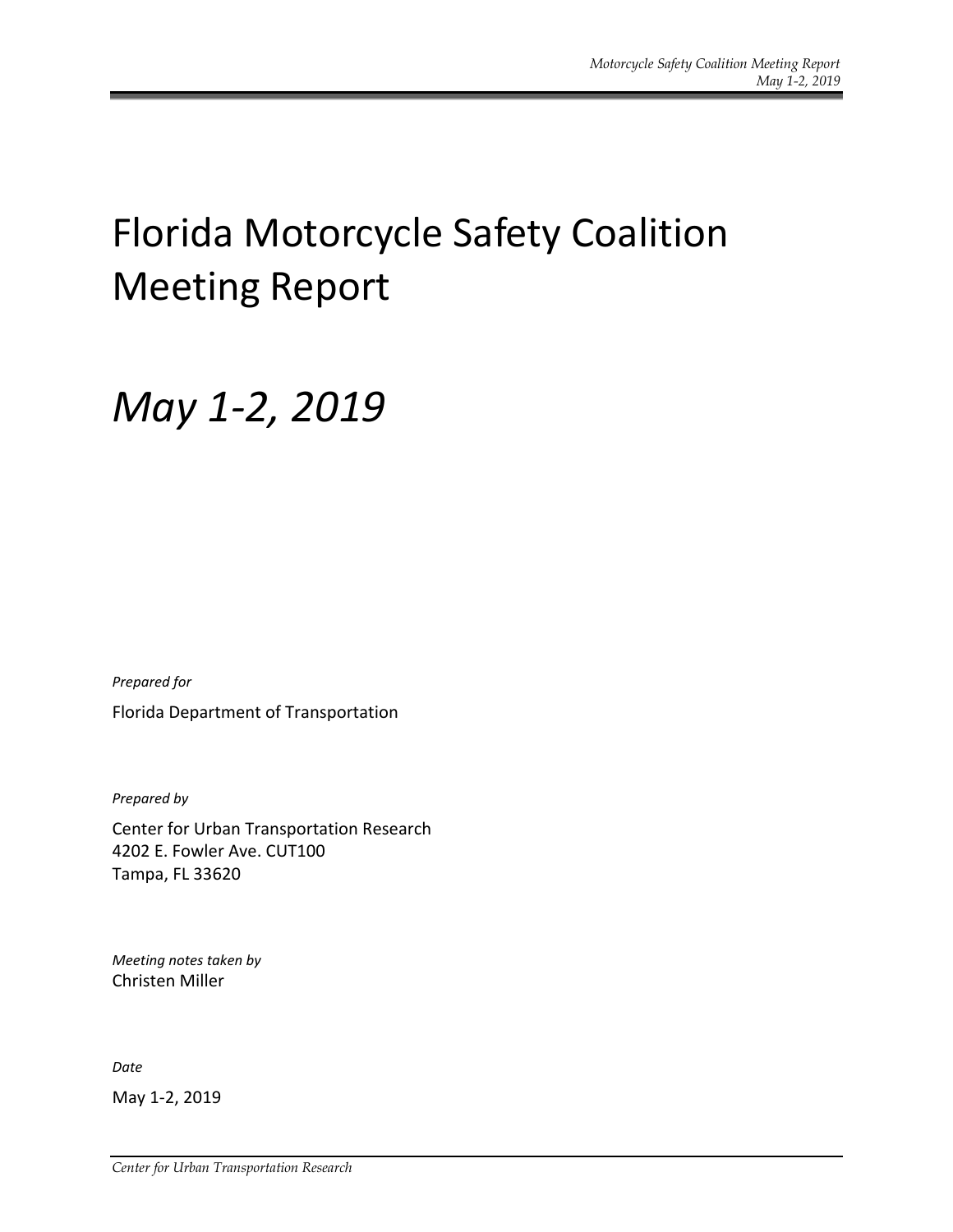# Florida Motorcycle Safety Coalition Meeting Report

## *May 1‐2, 2019*

*Prepared for*  Florida Department of Transportation

*Prepared by* 

Center for Urban Transportation Research 4202 E. Fowler Ave. CUT100 Tampa, FL 33620

*Meeting notes taken by*  Christen Miller

*Date* 

May 1‐2, 2019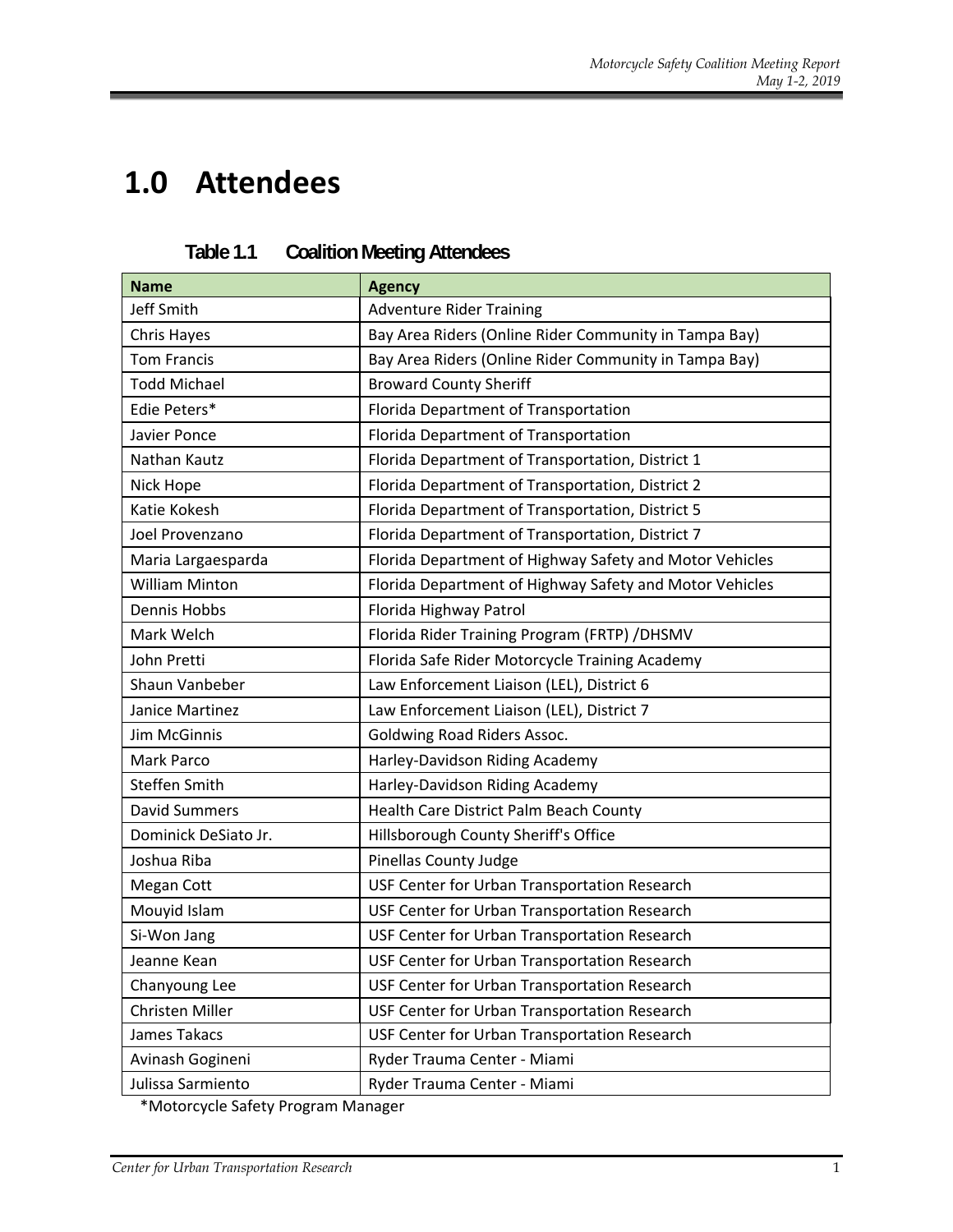## **1.0 Attendees**

| <b>Name</b>           | <b>Agency</b>                                           |  |  |
|-----------------------|---------------------------------------------------------|--|--|
| <b>Jeff Smith</b>     | <b>Adventure Rider Training</b>                         |  |  |
| Chris Hayes           | Bay Area Riders (Online Rider Community in Tampa Bay)   |  |  |
| <b>Tom Francis</b>    | Bay Area Riders (Online Rider Community in Tampa Bay)   |  |  |
| <b>Todd Michael</b>   | <b>Broward County Sheriff</b>                           |  |  |
| Edie Peters*          | Florida Department of Transportation                    |  |  |
| Javier Ponce          | Florida Department of Transportation                    |  |  |
| Nathan Kautz          | Florida Department of Transportation, District 1        |  |  |
| Nick Hope             | Florida Department of Transportation, District 2        |  |  |
| Katie Kokesh          | Florida Department of Transportation, District 5        |  |  |
| Joel Provenzano       | Florida Department of Transportation, District 7        |  |  |
| Maria Largaesparda    | Florida Department of Highway Safety and Motor Vehicles |  |  |
| <b>William Minton</b> | Florida Department of Highway Safety and Motor Vehicles |  |  |
| Dennis Hobbs          | Florida Highway Patrol                                  |  |  |
| Mark Welch            | Florida Rider Training Program (FRTP) /DHSMV            |  |  |
| John Pretti           | Florida Safe Rider Motorcycle Training Academy          |  |  |
| Shaun Vanbeber        | Law Enforcement Liaison (LEL), District 6               |  |  |
| Janice Martinez       | Law Enforcement Liaison (LEL), District 7               |  |  |
| Jim McGinnis          | <b>Goldwing Road Riders Assoc.</b>                      |  |  |
| <b>Mark Parco</b>     | Harley-Davidson Riding Academy                          |  |  |
| Steffen Smith         | Harley-Davidson Riding Academy                          |  |  |
| <b>David Summers</b>  | Health Care District Palm Beach County                  |  |  |
| Dominick DeSiato Jr.  | Hillsborough County Sheriff's Office                    |  |  |
| Joshua Riba           | <b>Pinellas County Judge</b>                            |  |  |
| Megan Cott            | USF Center for Urban Transportation Research            |  |  |
| Mouyid Islam          | USF Center for Urban Transportation Research            |  |  |
| Si-Won Jang           | USF Center for Urban Transportation Research            |  |  |
| Jeanne Kean           | USF Center for Urban Transportation Research            |  |  |
| Chanyoung Lee         | USF Center for Urban Transportation Research            |  |  |
| Christen Miller       | USF Center for Urban Transportation Research            |  |  |
| James Takacs          | USF Center for Urban Transportation Research            |  |  |
| Avinash Gogineni      | Ryder Trauma Center - Miami                             |  |  |
| Julissa Sarmiento     | Ryder Trauma Center - Miami                             |  |  |

| Table 1.1 |  | <b>Coalition Meeting Attendees</b> |
|-----------|--|------------------------------------|
|           |  |                                    |

\*Motorcycle Safety Program Manager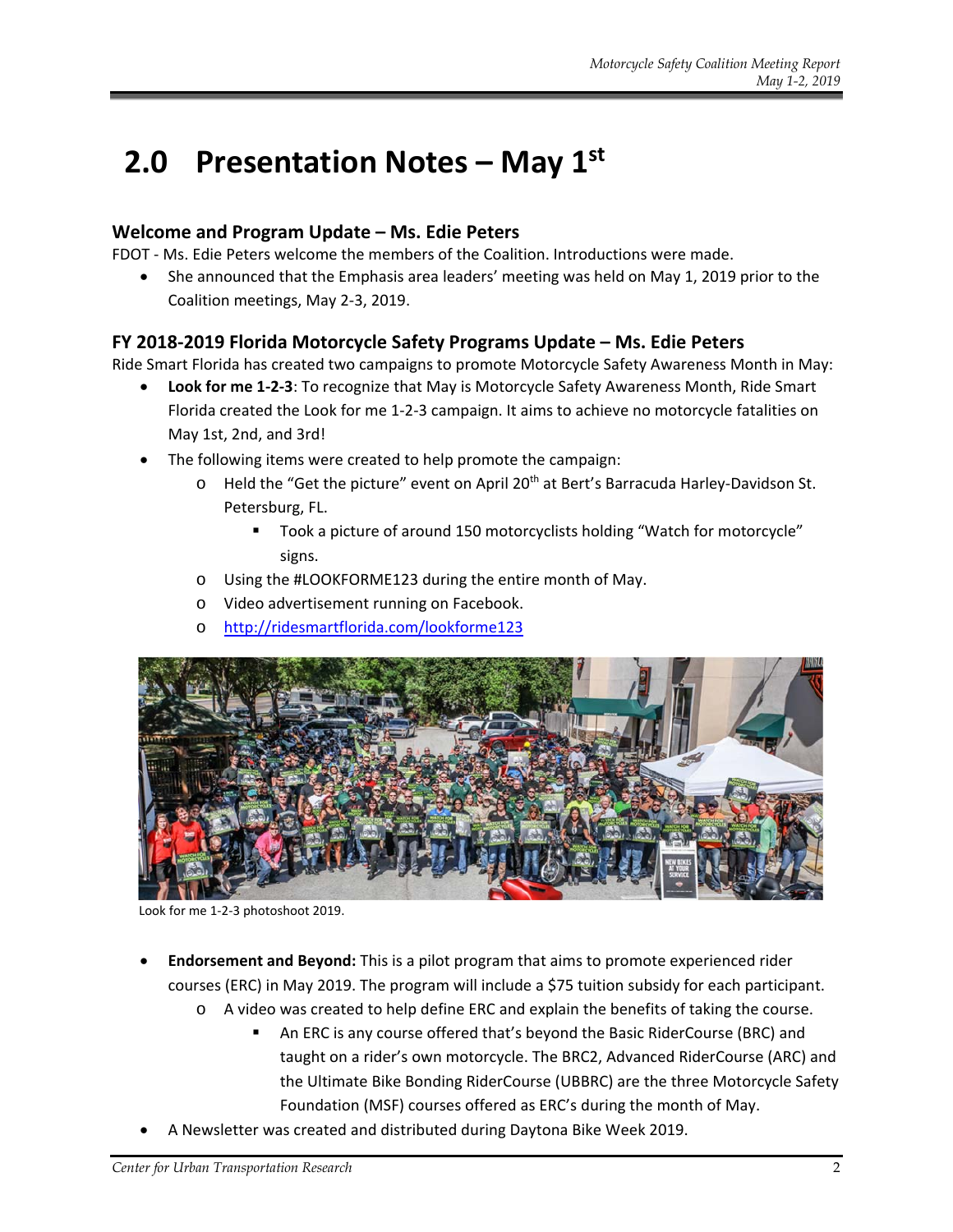## **2.0 Presentation Notes – May 1st**

#### **Welcome and Program Update – Ms. Edie Peters**

FDOT ‐ Ms. Edie Peters welcome the members of the Coalition. Introductions were made.

 She announced that the Emphasis area leaders' meeting was held on May 1, 2019 prior to the Coalition meetings, May 2‐3, 2019.

#### **FY 2018‐2019 Florida Motorcycle Safety Programs Update – Ms. Edie Peters**

Ride Smart Florida has created two campaigns to promote Motorcycle Safety Awareness Month in May:

- **Look for me 1‐2‐3**: To recognize that May is Motorcycle Safety Awareness Month, Ride Smart Florida created the Look for me 1‐2‐3 campaign. It aims to achieve no motorcycle fatalities on May 1st, 2nd, and 3rd!
- The following items were created to help promote the campaign:
	- o Held the "Get the picture" event on April 20th at Bert's Barracuda Harley‐Davidson St. Petersburg, FL.
		- Took a picture of around 150 motorcyclists holding "Watch for motorcycle" signs.
	- o Using the #LOOKFORME123 during the entire month of May.
	- o Video advertisement running on Facebook.
	- o http://ridesmartflorida.com/lookforme123



Look for me 1‐2‐3 photoshoot 2019.

- **Endorsement and Beyond:** This is a pilot program that aims to promote experienced rider courses (ERC) in May 2019. The program will include a \$75 tuition subsidy for each participant.
	- o A video was created to help define ERC and explain the benefits of taking the course.
		- An ERC is any course offered that's beyond the Basic RiderCourse (BRC) and taught on a rider's own motorcycle. The BRC2, Advanced RiderCourse (ARC) and the Ultimate Bike Bonding RiderCourse (UBBRC) are the three Motorcycle Safety Foundation (MSF) courses offered as ERC's during the month of May.
- A Newsletter was created and distributed during Daytona Bike Week 2019.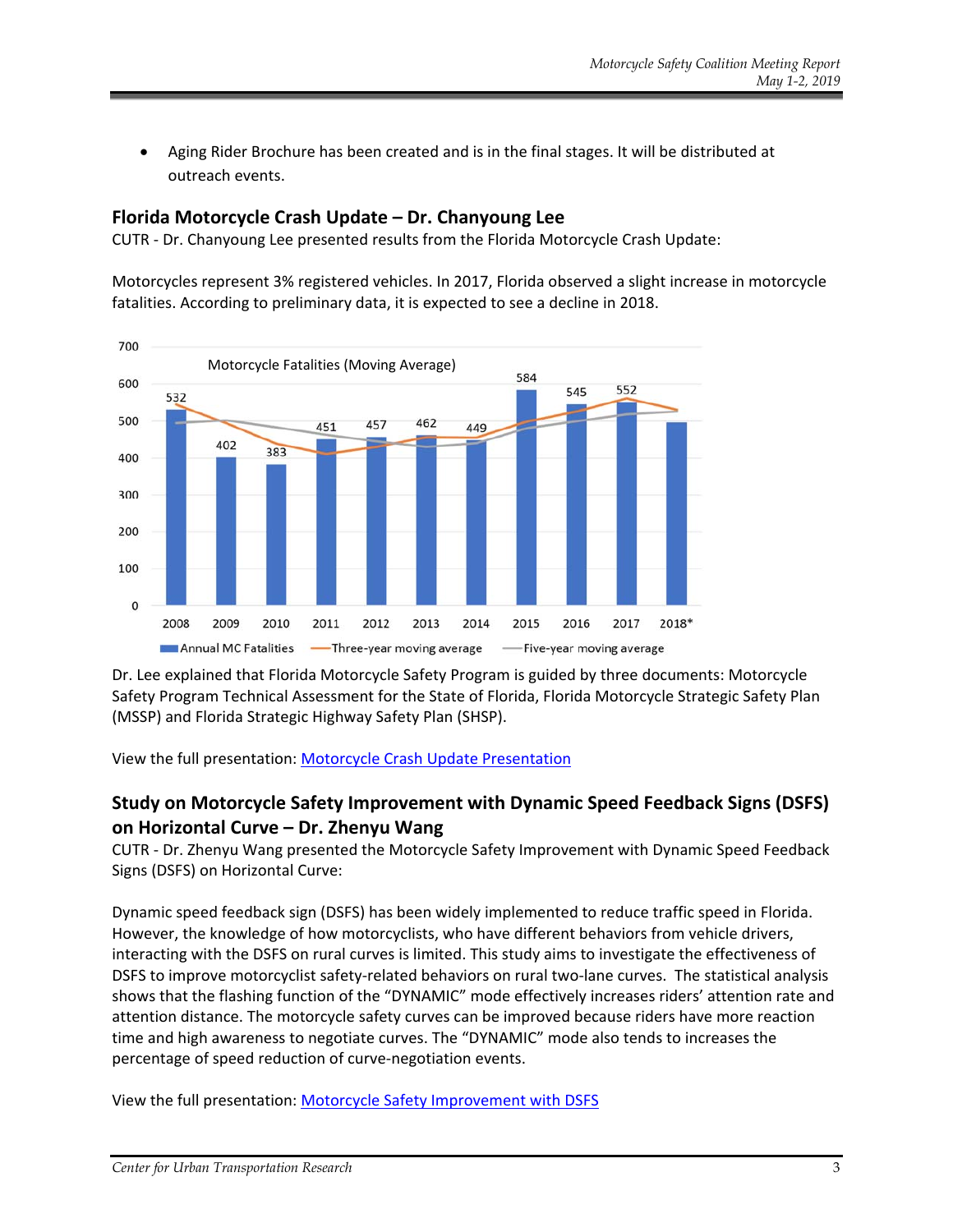Aging Rider Brochure has been created and is in the final stages. It will be distributed at outreach events.

#### **Florida Motorcycle Crash Update – Dr. Chanyoung Lee**

CUTR ‐ Dr. Chanyoung Lee presented results from the Florida Motorcycle Crash Update:

Motorcycles represent 3% registered vehicles. In 2017, Florida observed a slight increase in motorcycle fatalities. According to preliminary data, it is expected to see a decline in 2018.



Dr. Lee explained that Florida Motorcycle Safety Program is guided by three documents: Motorcycle Safety Program Technical Assessment for the State of Florida, Florida Motorcycle Strategic Safety Plan (MSSP) and Florida Strategic Highway Safety Plan (SHSP).

View the full presentation: Motorcycle Crash Update Presentation

#### **Study on Motorcycle Safety Improvement with Dynamic Speed Feedback Signs (DSFS) on Horizontal Curve – Dr. Zhenyu Wang**

CUTR ‐ Dr. Zhenyu Wang presented the Motorcycle Safety Improvement with Dynamic Speed Feedback Signs (DSFS) on Horizontal Curve:

Dynamic speed feedback sign (DSFS) has been widely implemented to reduce traffic speed in Florida. However, the knowledge of how motorcyclists, who have different behaviors from vehicle drivers, interacting with the DSFS on rural curves is limited. This study aims to investigate the effectiveness of DSFS to improve motorcyclist safety-related behaviors on rural two-lane curves. The statistical analysis shows that the flashing function of the "DYNAMIC" mode effectively increases riders' attention rate and attention distance. The motorcycle safety curves can be improved because riders have more reaction time and high awareness to negotiate curves. The "DYNAMIC" mode also tends to increases the percentage of speed reduction of curve-negotiation events.

View the full presentation: Motorcycle Safety Improvement with DSFS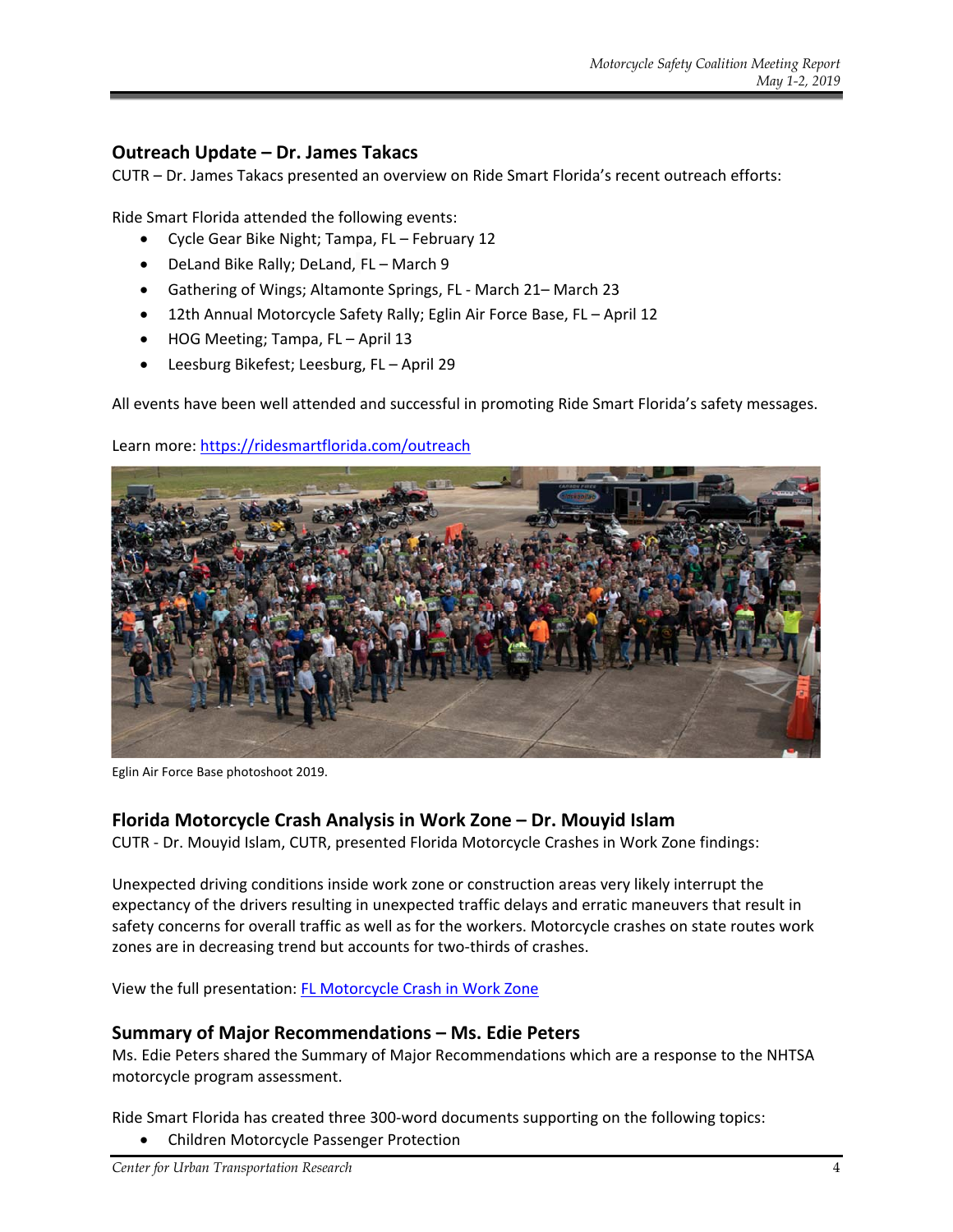#### **Outreach Update – Dr. James Takacs**

CUTR – Dr. James Takacs presented an overview on Ride Smart Florida's recent outreach efforts:

Ride Smart Florida attended the following events:

- Cycle Gear Bike Night; Tampa, FL February 12
- DeLand Bike Rally; DeLand, FL March 9
- Gathering of Wings; Altamonte Springs, FL ‐ March 21– March 23
- 12th Annual Motorcycle Safety Rally; Eglin Air Force Base, FL April 12
- HOG Meeting; Tampa, FL April 13
- Leesburg Bikefest; Leesburg, FL April 29

All events have been well attended and successful in promoting Ride Smart Florida's safety messages.



Learn more: https://ridesmartflorida.com/outreach

Eglin Air Force Base photoshoot 2019.

#### **Florida Motorcycle Crash Analysis in Work Zone – Dr. Mouyid Islam**

CUTR ‐ Dr. Mouyid Islam, CUTR, presented Florida Motorcycle Crashes in Work Zone findings:

Unexpected driving conditions inside work zone or construction areas very likely interrupt the expectancy of the drivers resulting in unexpected traffic delays and erratic maneuvers that result in safety concerns for overall traffic as well as for the workers. Motorcycle crashes on state routes work zones are in decreasing trend but accounts for two-thirds of crashes.

View the full presentation: FL Motorcycle Crash in Work Zone

#### **Summary of Major Recommendations – Ms. Edie Peters**

Ms. Edie Peters shared the Summary of Major Recommendations which are a response to the NHTSA motorcycle program assessment.

Ride Smart Florida has created three 300‐word documents supporting on the following topics:

Children Motorcycle Passenger Protection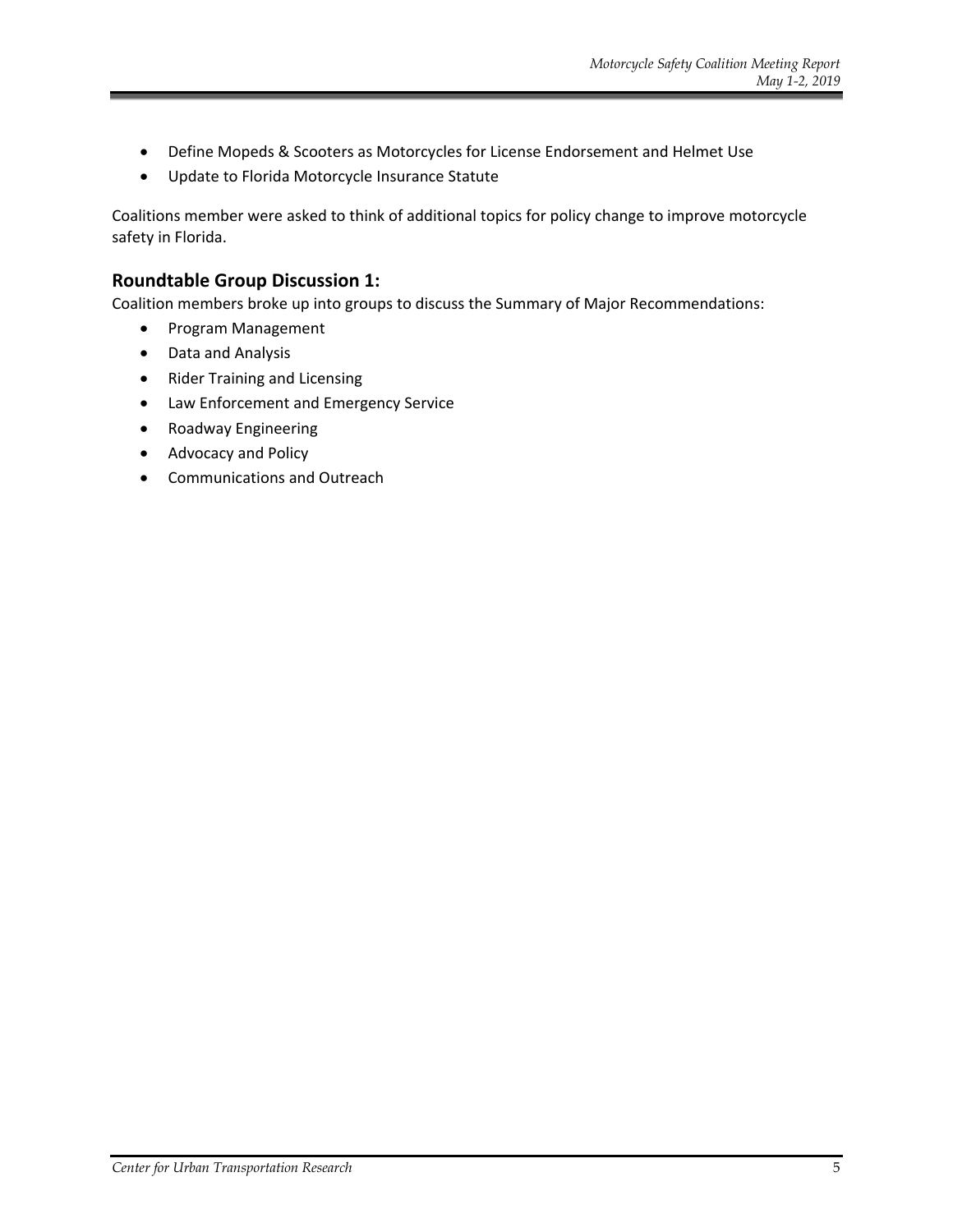- Define Mopeds & Scooters as Motorcycles for License Endorsement and Helmet Use
- Update to Florida Motorcycle Insurance Statute

Coalitions member were asked to think of additional topics for policy change to improve motorcycle safety in Florida.

#### **Roundtable Group Discussion 1:**

Coalition members broke up into groups to discuss the Summary of Major Recommendations:

- Program Management
- Data and Analysis
- Rider Training and Licensing
- Law Enforcement and Emergency Service
- Roadway Engineering
- Advocacy and Policy
- Communications and Outreach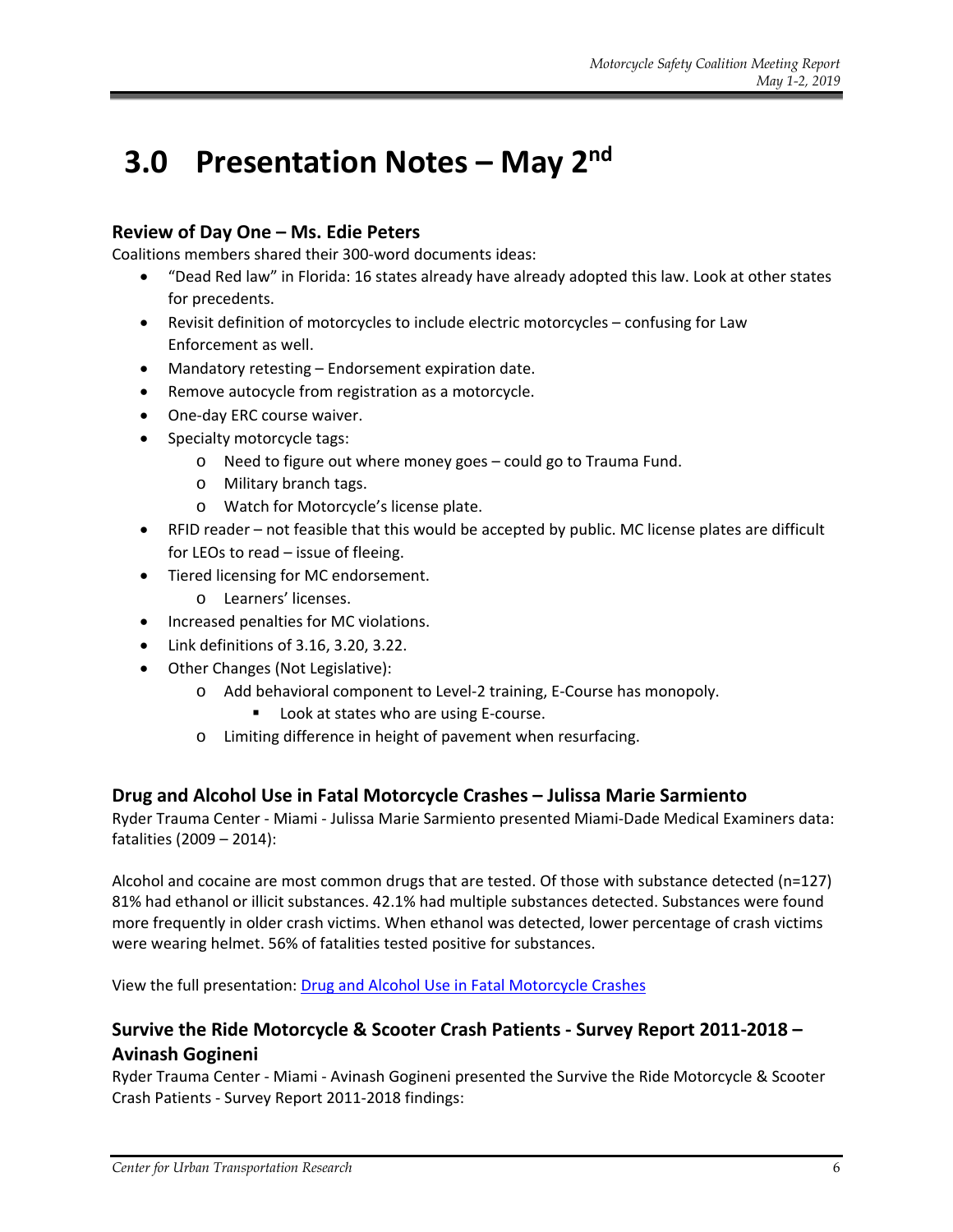### **3.0 Presentation Notes – May 2nd**

#### **Review of Day One – Ms. Edie Peters**

Coalitions members shared their 300‐word documents ideas:

- "Dead Red law" in Florida: 16 states already have already adopted this law. Look at other states for precedents.
- Revisit definition of motorcycles to include electric motorcycles confusing for Law Enforcement as well.
- Mandatory retesting Endorsement expiration date.
- Remove autocycle from registration as a motorcycle.
- One-day ERC course waiver.
- Specialty motorcycle tags:
	- o Need to figure out where money goes could go to Trauma Fund.
	- o Military branch tags.
	- o Watch for Motorcycle's license plate.
- RFID reader not feasible that this would be accepted by public. MC license plates are difficult for LEOs to read – issue of fleeing.
- Tiered licensing for MC endorsement.
	- o Learners' licenses.
- Increased penalties for MC violations.
- Link definitions of 3.16, 3.20, 3.22.
- Other Changes (Not Legislative):
	- o Add behavioral component to Level‐2 training, E‐Course has monopoly.
		- Look at states who are using E-course.
	- o Limiting difference in height of pavement when resurfacing.

#### **Drug and Alcohol Use in Fatal Motorcycle Crashes – Julissa Marie Sarmiento**

Ryder Trauma Center ‐ Miami ‐ Julissa Marie Sarmiento presented Miami‐Dade Medical Examiners data: fatalities (2009 – 2014):

Alcohol and cocaine are most common drugs that are tested. Of those with substance detected (n=127) 81% had ethanol or illicit substances. 42.1% had multiple substances detected. Substances were found more frequently in older crash victims. When ethanol was detected, lower percentage of crash victims were wearing helmet. 56% of fatalities tested positive for substances.

View the full presentation: Drug and Alcohol Use in Fatal Motorcycle Crashes

#### **Survive the Ride Motorcycle & Scooter Crash Patients ‐ Survey Report 2011‐2018 – Avinash Gogineni**

Ryder Trauma Center ‐ Miami ‐ Avinash Gogineni presented the Survive the Ride Motorcycle & Scooter Crash Patients ‐ Survey Report 2011‐2018 findings: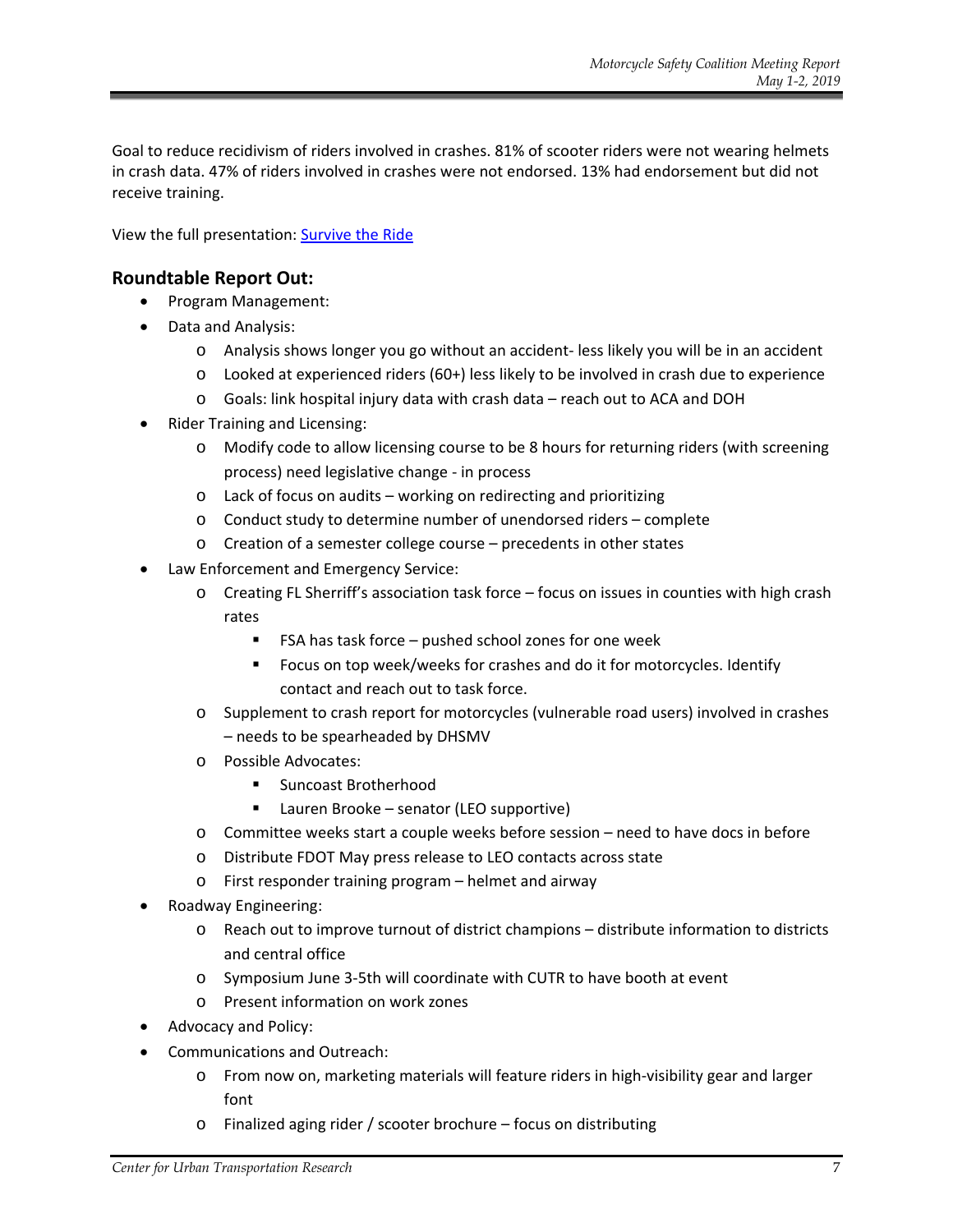Goal to reduce recidivism of riders involved in crashes. 81% of scooter riders were not wearing helmets in crash data. 47% of riders involved in crashes were not endorsed. 13% had endorsement but did not receive training.

View the full presentation: Survive the Ride

#### **Roundtable Report Out:**

- Program Management:
- Data and Analysis:
	- o Analysis shows longer you go without an accident‐ less likely you will be in an accident
	- o Looked at experienced riders (60+) less likely to be involved in crash due to experience
	- o Goals: link hospital injury data with crash data reach out to ACA and DOH
- Rider Training and Licensing:
	- o Modify code to allow licensing course to be 8 hours for returning riders (with screening process) need legislative change ‐ in process
	- o Lack of focus on audits working on redirecting and prioritizing
	- o Conduct study to determine number of unendorsed riders complete
	- o Creation of a semester college course precedents in other states
- Law Enforcement and Emergency Service:
	- o Creating FL Sherriff's association task force focus on issues in counties with high crash rates
		- FSA has task force pushed school zones for one week
		- **FIM** Focus on top week/weeks for crashes and do it for motorcycles. Identify contact and reach out to task force.
	- o Supplement to crash report for motorcycles (vulnerable road users) involved in crashes – needs to be spearheaded by DHSMV
	- o Possible Advocates:
		- Suncoast Brotherhood
		- Lauren Brooke senator (LEO supportive)
	- o Committee weeks start a couple weeks before session need to have docs in before
	- o Distribute FDOT May press release to LEO contacts across state
	- o First responder training program helmet and airway
- Roadway Engineering:
	- o Reach out to improve turnout of district champions distribute information to districts and central office
	- o Symposium June 3‐5th will coordinate with CUTR to have booth at event
	- o Present information on work zones
- Advocacy and Policy:
- Communications and Outreach:
	- o From now on, marketing materials will feature riders in high‐visibility gear and larger font
	- o Finalized aging rider / scooter brochure focus on distributing